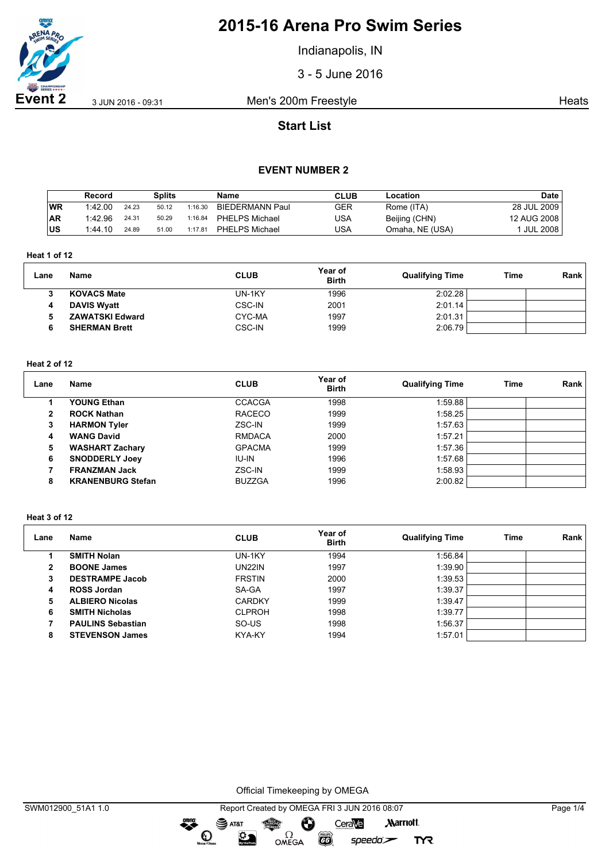

Indianapolis, IN

3 - 5 June 2016

**Event 2** 3 JUN 2016 - 09:31 Men's 200m Freestyle **Heats** Heats

## **Start List**

## **EVENT NUMBER 2**

|           | Record  |       | Splits |         | <b>Name</b>            | <b>CLUB</b> | Location        | <b>Date</b>     |
|-----------|---------|-------|--------|---------|------------------------|-------------|-----------------|-----------------|
| WR        | 1:42.00 | 24.23 | 50.12  | 1:16.30 | <b>BIEDERMANN Paul</b> | GER         | Rome (ITA)      | 28 JUL 2009     |
| <b>AR</b> | 1:42.96 | 24.31 | 50.29  | 1:16.84 | <b>PHELPS Michael</b>  | USA         | Beijing (CHN)   | 12 AUG 2008     |
| ΙUS       | 1:44.10 | 24.89 | 51.00  | 1:17.81 | PHELPS Michael         | USA         | Omaha, NE (USA) | <b>JUL 2008</b> |

### **Heat 1 of 12**

| Lane | Name                   | <b>CLUB</b> | <b>Year of</b><br><b>Birth</b> | <b>Qualifying Time</b> | Time | Rank |
|------|------------------------|-------------|--------------------------------|------------------------|------|------|
|      | <b>KOVACS Mate</b>     | UN-1KY      | 1996                           | 2:02.28                |      |      |
| 4    | <b>DAVIS Wyatt</b>     | CSC-IN      | 2001                           | 2:01.14                |      |      |
|      | <b>ZAWATSKI Edward</b> | CYC-MA      | 1997                           | 2:01.31                |      |      |
|      | <b>SHERMAN Brett</b>   | CSC-IN      | 1999                           | 2:06.79                |      |      |

### **Heat 2 of 12**

| Lane | Name                     | <b>CLUB</b>   | Year of<br><b>Birth</b> | <b>Qualifying Time</b> | Time | Rank |
|------|--------------------------|---------------|-------------------------|------------------------|------|------|
|      | <b>YOUNG Ethan</b>       | <b>CCACGA</b> | 1998                    | 1:59.88                |      |      |
| 2    | <b>ROCK Nathan</b>       | <b>RACECO</b> | 1999                    | 1:58.25                |      |      |
| 3    | <b>HARMON Tyler</b>      | ZSC-IN        | 1999                    | 1:57.63                |      |      |
| 4    | <b>WANG David</b>        | <b>RMDACA</b> | 2000                    | 1:57.21                |      |      |
| 5.   | <b>WASHART Zachary</b>   | <b>GPACMA</b> | 1999                    | 1:57.36                |      |      |
| 6    | <b>SNODDERLY Joey</b>    | IU-IN         | 1996                    | 1:57.68                |      |      |
|      | <b>FRANZMAN Jack</b>     | ZSC-IN        | 1999                    | 1:58.93                |      |      |
| 8    | <b>KRANENBURG Stefan</b> | <b>BUZZGA</b> | 1996                    | 2:00.82                |      |      |

#### **Heat 3 of 12**

| Lane | Name                     | <b>CLUB</b>   | Year of<br><b>Birth</b> | <b>Qualifying Time</b> | Time | Rank |
|------|--------------------------|---------------|-------------------------|------------------------|------|------|
|      | <b>SMITH Nolan</b>       | UN-1KY        | 1994                    | 1:56.84                |      |      |
| 2    | <b>BOONE James</b>       | <b>UN22IN</b> | 1997                    | 1:39.90                |      |      |
| 3    | <b>DESTRAMPE Jacob</b>   | <b>FRSTIN</b> | 2000                    | 1:39.53                |      |      |
| 4    | <b>ROSS Jordan</b>       | SA-GA         | 1997                    | 1:39.37                |      |      |
| 5    | <b>ALBIERO Nicolas</b>   | <b>CARDKY</b> | 1999                    | 1:39.47                |      |      |
| 6    | <b>SMITH Nicholas</b>    | <b>CLPROH</b> | 1998                    | 1:39.77                |      |      |
|      | <b>PAULINS Sebastian</b> | SO-US         | 1998                    | 1:56.37                |      |      |
| 8    | <b>STEVENSON James</b>   | KYA-KY        | 1994                    | 1:57.01                |      |      |

Official Timekeeping by OMEGA

OMEGA

 $\bullet$ 

 $\mathbf{O}$ 

 $\sum_{n=1}^{\infty}$ 

SWM012900\_51A1 1.0 Report Created by OMEGA FRI 3 JUN 2016 08:07 Page 1/4 SAT&T CeraVe **Marriott** Ô

 $\overline{G}$ 

 $speedo$ 

**TYR**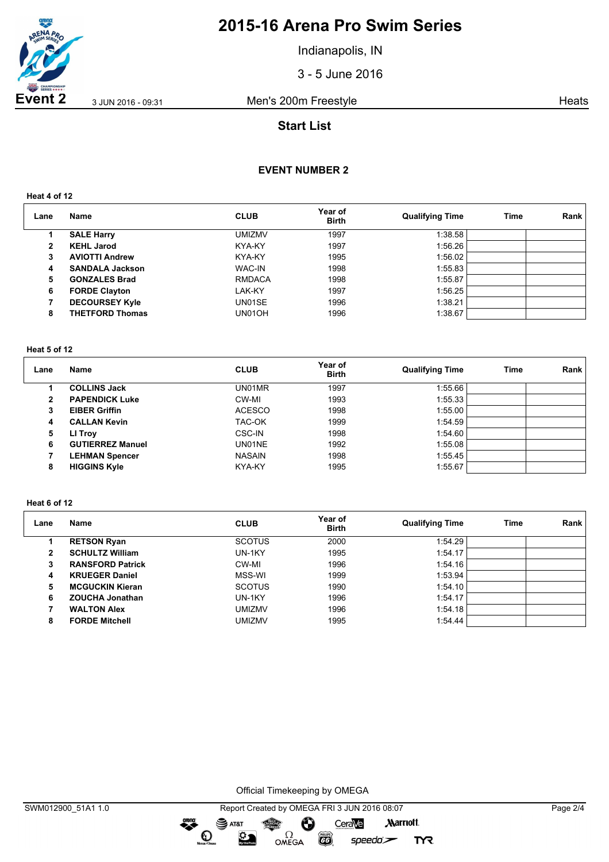

Indianapolis, IN

3 - 5 June 2016

**Event 2** 3 JUN 2016 - 09:31 Men's 200m Freestyle **Heats** Heats

## **Start List**

## **EVENT NUMBER 2**

**Heat 4 of 12**

| Lane | Name                   | <b>CLUB</b>   | Year of<br><b>Birth</b> | <b>Qualifying Time</b> | Time | Rank |
|------|------------------------|---------------|-------------------------|------------------------|------|------|
|      | <b>SALE Harry</b>      | UMIZMV        | 1997                    | 1:38.58                |      |      |
| 2    | <b>KEHL Jarod</b>      | KYA-KY        | 1997                    | 1:56.26                |      |      |
| 3    | <b>AVIOTTI Andrew</b>  | KYA-KY        | 1995                    | 1:56.02                |      |      |
| 4    | <b>SANDALA Jackson</b> | <b>WAC-IN</b> | 1998                    | 1:55.83                |      |      |
| 5    | <b>GONZALES Brad</b>   | <b>RMDACA</b> | 1998                    | 1:55.87                |      |      |
| 6    | <b>FORDE Clayton</b>   | LAK-KY        | 1997                    | 1:56.25                |      |      |
|      | <b>DECOURSEY Kyle</b>  | UN01SE        | 1996                    | 1:38.21                |      |      |
| 8    | <b>THETFORD Thomas</b> | UN01OH        | 1996                    | 1:38.67                |      |      |

### **Heat 5 of 12**

| Lane | Name                    | <b>CLUB</b>   | Year of<br><b>Birth</b> | <b>Qualifying Time</b> | Time | Rank |
|------|-------------------------|---------------|-------------------------|------------------------|------|------|
|      | <b>COLLINS Jack</b>     | UN01MR        | 1997                    | 1:55.66                |      |      |
| 2    | <b>PAPENDICK Luke</b>   | CW-MI         | 1993                    | 1:55.33                |      |      |
| 3    | <b>EIBER Griffin</b>    | <b>ACESCO</b> | 1998                    | 1:55.00                |      |      |
| 4    | <b>CALLAN Kevin</b>     | TAC-OK        | 1999                    | 1:54.59                |      |      |
| 5    | LI Troy                 | <b>CSC-IN</b> | 1998                    | 1:54.60                |      |      |
| 6    | <b>GUTIERREZ Manuel</b> | UN01NE        | 1992                    | 1:55.08                |      |      |
|      | <b>LEHMAN Spencer</b>   | <b>NASAIN</b> | 1998                    | 1:55.45                |      |      |
| 8    | <b>HIGGINS Kyle</b>     | KYA-KY        | 1995                    | 1:55.67                |      |      |

### **Heat 6 of 12**

| Lane | Name                    | <b>CLUB</b>   | Year of<br><b>Birth</b> | <b>Qualifying Time</b> | Time | Rank |
|------|-------------------------|---------------|-------------------------|------------------------|------|------|
|      | <b>RETSON Ryan</b>      | <b>SCOTUS</b> | 2000                    | 1:54.29                |      |      |
| 2    | <b>SCHULTZ William</b>  | UN-1KY        | 1995                    | 1:54.17                |      |      |
| 3    | <b>RANSFORD Patrick</b> | CW-MI         | 1996                    | 1:54.16                |      |      |
| 4    | <b>KRUEGER Daniel</b>   | MSS-WI        | 1999                    | 1:53.94                |      |      |
| 5    | <b>MCGUCKIN Kieran</b>  | <b>SCOTUS</b> | 1990                    | 1:54.10                |      |      |
| 6    | <b>ZOUCHA Jonathan</b>  | UN-1KY        | 1996                    | 1:54.17                |      |      |
|      | <b>WALTON Alex</b>      | <b>UMIZMV</b> | 1996                    | 1:54.18                |      |      |
| 8    | <b>FORDE Mitchell</b>   | <b>UMIZMV</b> | 1995                    | 1:54.44                |      |      |

Official Timekeeping by OMEGA

 $\bullet$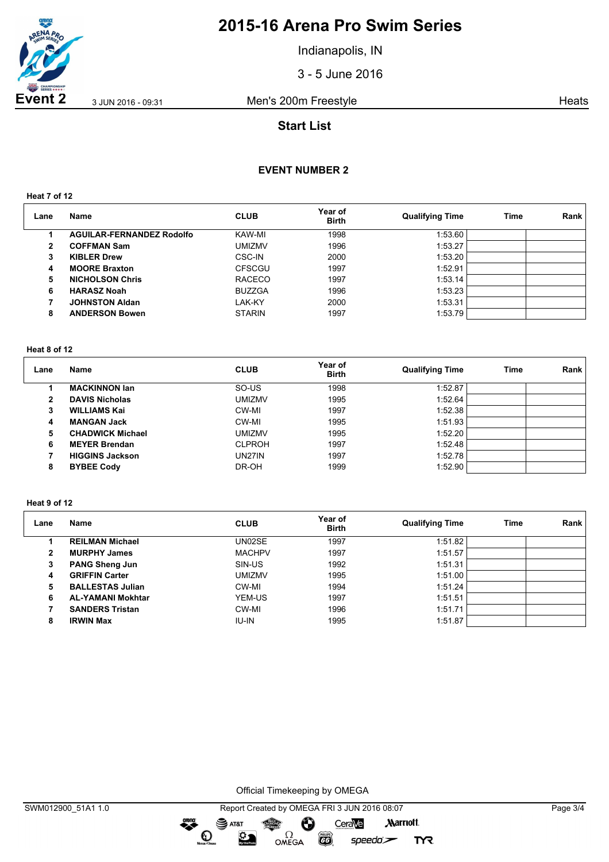

Indianapolis, IN

3 - 5 June 2016

**Event 2** 3 JUN 2016 - 09:31 Men's 200m Freestyle **Heats** Heats

## **Start List**

## **EVENT NUMBER 2**

**Heat 7 of 12**

| Lane         | <b>Name</b>                      | <b>CLUB</b>   | Year of<br><b>Birth</b> | <b>Qualifying Time</b> | Time | Rank |
|--------------|----------------------------------|---------------|-------------------------|------------------------|------|------|
|              | <b>AGUILAR-FERNANDEZ Rodolfo</b> | KAW-MI        | 1998                    | 1:53.60                |      |      |
| $\mathbf{2}$ | <b>COFFMAN Sam</b>               | <b>UMIZMV</b> | 1996                    | 1:53.27                |      |      |
| 3            | <b>KIBLER Drew</b>               | CSC-IN        | 2000                    | 1:53.20                |      |      |
| 4            | <b>MOORE Braxton</b>             | <b>CFSCGU</b> | 1997                    | 1:52.91                |      |      |
| 5            | <b>NICHOLSON Chris</b>           | <b>RACECO</b> | 1997                    | 1:53.14                |      |      |
| 6            | <b>HARASZ Noah</b>               | <b>BUZZGA</b> | 1996                    | 1:53.23                |      |      |
|              | <b>JOHNSTON Aldan</b>            | LAK-KY        | 2000                    | 1:53.31                |      |      |
| 8            | <b>ANDERSON Bowen</b>            | <b>STARIN</b> | 1997                    | 1:53.79                |      |      |

#### **Heat 8 of 12**

| Lane | Name                    | <b>CLUB</b>   | Year of<br><b>Birth</b> | <b>Qualifying Time</b> | Time | Rank |
|------|-------------------------|---------------|-------------------------|------------------------|------|------|
|      | <b>MACKINNON lan</b>    | SO-US         | 1998                    | 1:52.87                |      |      |
| 2    | <b>DAVIS Nicholas</b>   | <b>UMIZMV</b> | 1995                    | 1:52.64                |      |      |
| 3    | <b>WILLIAMS Kai</b>     | CW-MI         | 1997                    | 1:52.38                |      |      |
| 4    | <b>MANGAN Jack</b>      | CW-MI         | 1995                    | 1:51.93                |      |      |
| 5.   | <b>CHADWICK Michael</b> | <b>UMIZMV</b> | 1995                    | 1:52.20                |      |      |
| 6    | <b>MEYER Brendan</b>    | <b>CLPROH</b> | 1997                    | 1:52.48                |      |      |
|      | <b>HIGGINS Jackson</b>  | UN27IN        | 1997                    | 1:52.78                |      |      |
| 8    | <b>BYBEE Cody</b>       | DR-OH         | 1999                    | 1:52.90                |      |      |

### **Heat 9 of 12**

| Lane | Name                     | <b>CLUB</b>   | Year of<br><b>Birth</b> | <b>Qualifying Time</b> | Time | Rank |
|------|--------------------------|---------------|-------------------------|------------------------|------|------|
|      | <b>REILMAN Michael</b>   | UN02SE        | 1997                    | 1:51.82                |      |      |
| 2    | <b>MURPHY James</b>      | <b>MACHPV</b> | 1997                    | 1:51.57                |      |      |
| 3    | <b>PANG Sheng Jun</b>    | SIN-US        | 1992                    | 1:51.31                |      |      |
| 4    | <b>GRIFFIN Carter</b>    | <b>UMIZMV</b> | 1995                    | 1:51.00                |      |      |
| 5    | <b>BALLESTAS Julian</b>  | CW-MI         | 1994                    | 1:51.24                |      |      |
| 6    | <b>AL-YAMANI Mokhtar</b> | YEM-US        | 1997                    | 1:51.51                |      |      |
|      | <b>SANDERS Tristan</b>   | CW-MI         | 1996                    | 1:51.71                |      |      |
| 8    | <b>IRWIN Max</b>         | <b>IU-IN</b>  | 1995                    | 1:51.87                |      |      |

Official Timekeeping by OMEGA

OMEGA

dreng:

 $\mathbf{O}$ 

签

SWM012900\_51A1 1.0 Report Created by OMEGA FRI 3 JUN 2016 08:07 Page 3/4 SAT&T CeraVe **Marriott** Ô

 $\overline{G}$ 

 $speedo$ 

**TYR**